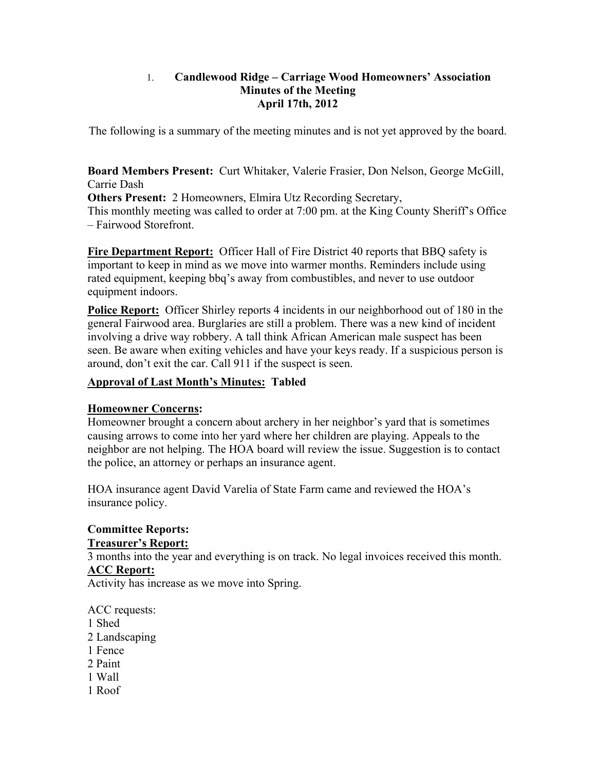## 1. **Candlewood Ridge – Carriage Wood Homeowners' Association Minutes of the Meeting April 17th, 2012**

The following is a summary of the meeting minutes and is not yet approved by the board.

**Board Members Present:** Curt Whitaker, Valerie Frasier, Don Nelson, George McGill, Carrie Dash

**Others Present:** 2 Homeowners, Elmira Utz Recording Secretary, This monthly meeting was called to order at 7:00 pm. at the King County Sheriff's Office – Fairwood Storefront.

**Fire Department Report:** Officer Hall of Fire District 40 reports that BBQ safety is important to keep in mind as we move into warmer months. Reminders include using rated equipment, keeping bbq's away from combustibles, and never to use outdoor equipment indoors.

**Police Report:** Officer Shirley reports 4 incidents in our neighborhood out of 180 in the general Fairwood area. Burglaries are still a problem. There was a new kind of incident involving a drive way robbery. A tall think African American male suspect has been seen. Be aware when exiting vehicles and have your keys ready. If a suspicious person is around, don't exit the car. Call 911 if the suspect is seen.

# **Approval of Last Month's Minutes: Tabled**

## **Homeowner Concerns:**

Homeowner brought a concern about archery in her neighbor's yard that is sometimes causing arrows to come into her yard where her children are playing. Appeals to the neighbor are not helping. The HOA board will review the issue. Suggestion is to contact the police, an attorney or perhaps an insurance agent.

HOA insurance agent David Varelia of State Farm came and reviewed the HOA's insurance policy.

# **Committee Reports:**

#### **Treasurer's Report:**

3 months into the year and everything is on track. No legal invoices received this month.

## **ACC Report:**

Activity has increase as we move into Spring.

## ACC requests:

- 1 Shed
- 2 Landscaping
- 1 Fence
- 2 Paint
- 1 Wall
- 1 Roof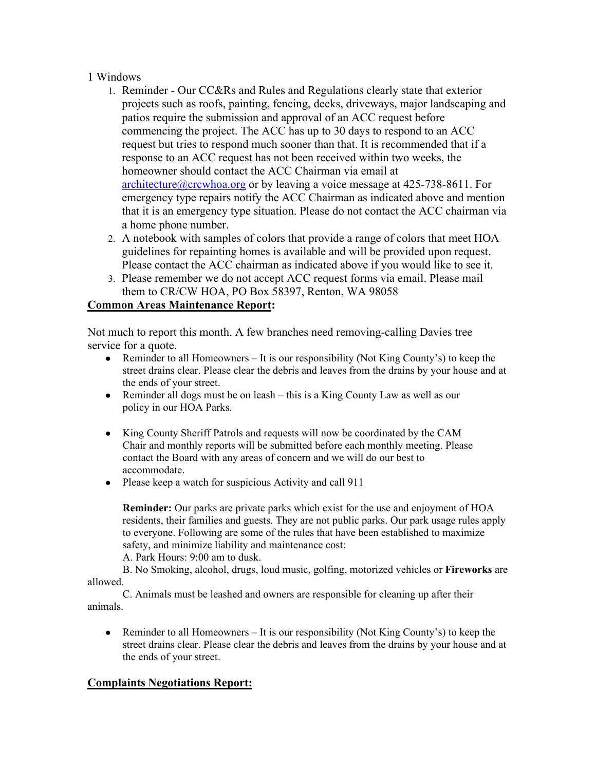#### 1 Windows

- 1. Reminder Our CC&Rs and Rules and Regulations clearly state that exterior projects such as roofs, painting, fencing, decks, driveways, major landscaping and patios require the submission and approval of an ACC request before commencing the project. The ACC has up to 30 days to respond to an ACC request but tries to respond much sooner than that. It is recommended that if a response to an ACC request has not been received within two weeks, the homeowner should contact the ACC Chairman via email at architecture@crcwhoa.org or by leaving a voice message at 425-738-8611. For emergency type repairs notify the ACC Chairman as indicated above and mention that it is an emergency type situation. Please do not contact the ACC chairman via a home phone number.
- 2. A notebook with samples of colors that provide a range of colors that meet HOA guidelines for repainting homes is available and will be provided upon request. Please contact the ACC chairman as indicated above if you would like to see it.
- 3. Please remember we do not accept ACC request forms via email. Please mail them to CR/CW HOA, PO Box 58397, Renton, WA 98058

#### **Common Areas Maintenance Report:**

Not much to report this month. A few branches need removing-calling Davies tree service for a quote.

- Reminder to all Homeowners It is our responsibility (Not King County's) to keep the street drains clear. Please clear the debris and leaves from the drains by your house and at the ends of your street.
- Reminder all dogs must be on leash this is a King County Law as well as our policy in our HOA Parks.
- King County Sheriff Patrols and requests will now be coordinated by the CAM Chair and monthly reports will be submitted before each monthly meeting. Please contact the Board with any areas of concern and we will do our best to accommodate.
- Please keep a watch for suspicious Activity and call 911

**Reminder:** Our parks are private parks which exist for the use and enjoyment of HOA residents, their families and guests. They are not public parks. Our park usage rules apply to everyone. Following are some of the rules that have been established to maximize safety, and minimize liability and maintenance cost:

A. Park Hours: 9:00 am to dusk.

B. No Smoking, alcohol, drugs, loud music, golfing, motorized vehicles or **Fireworks** are allowed.

C. Animals must be leashed and owners are responsible for cleaning up after their animals.

• Reminder to all Homeowners – It is our responsibility (Not King County's) to keep the street drains clear. Please clear the debris and leaves from the drains by your house and at the ends of your street.

#### **Complaints Negotiations Report:**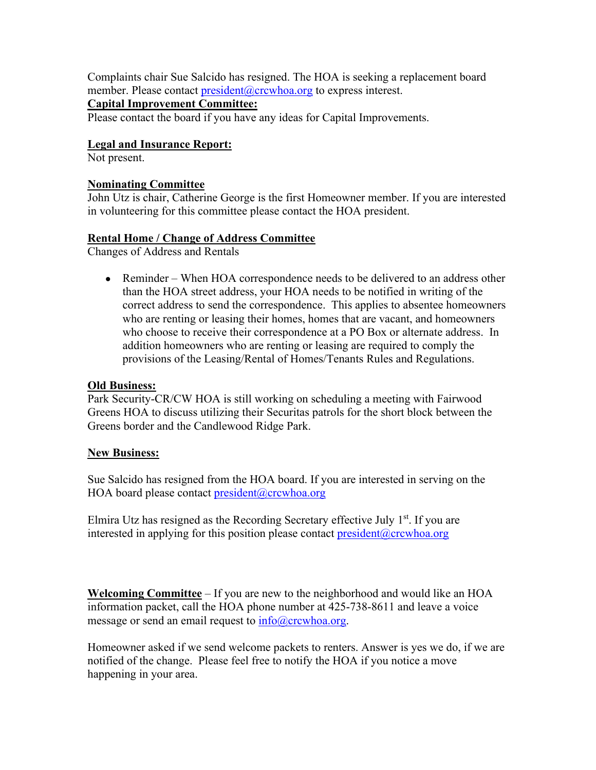Complaints chair Sue Salcido has resigned. The HOA is seeking a replacement board member. Please contact president@crcwhoa.org to express interest.

## **Capital Improvement Committee:**

Please contact the board if you have any ideas for Capital Improvements.

## **Legal and Insurance Report:**

Not present.

#### **Nominating Committee**

John Utz is chair, Catherine George is the first Homeowner member. If you are interested in volunteering for this committee please contact the HOA president.

## **Rental Home / Change of Address Committee**

Changes of Address and Rentals

• Reminder – When HOA correspondence needs to be delivered to an address other than the HOA street address, your HOA needs to be notified in writing of the correct address to send the correspondence. This applies to absentee homeowners who are renting or leasing their homes, homes that are vacant, and homeowners who choose to receive their correspondence at a PO Box or alternate address. In addition homeowners who are renting or leasing are required to comply the provisions of the Leasing/Rental of Homes/Tenants Rules and Regulations.

#### **Old Business:**

Park Security-CR/CW HOA is still working on scheduling a meeting with Fairwood Greens HOA to discuss utilizing their Securitas patrols for the short block between the Greens border and the Candlewood Ridge Park.

#### **New Business:**

Sue Salcido has resigned from the HOA board. If you are interested in serving on the HOA board please contact president@crcwhoa.org

Elmira Utz has resigned as the Recording Secretary effective July  $1<sup>st</sup>$ . If you are interested in applying for this position please contact president  $@crcwhoa.org$ 

**Welcoming Committee** – If you are new to the neighborhood and would like an HOA information packet, call the HOA phone number at 425-738-8611 and leave a voice message or send an email request to  $info@crewhoa.org$ .

Homeowner asked if we send welcome packets to renters. Answer is yes we do, if we are notified of the change. Please feel free to notify the HOA if you notice a move happening in your area.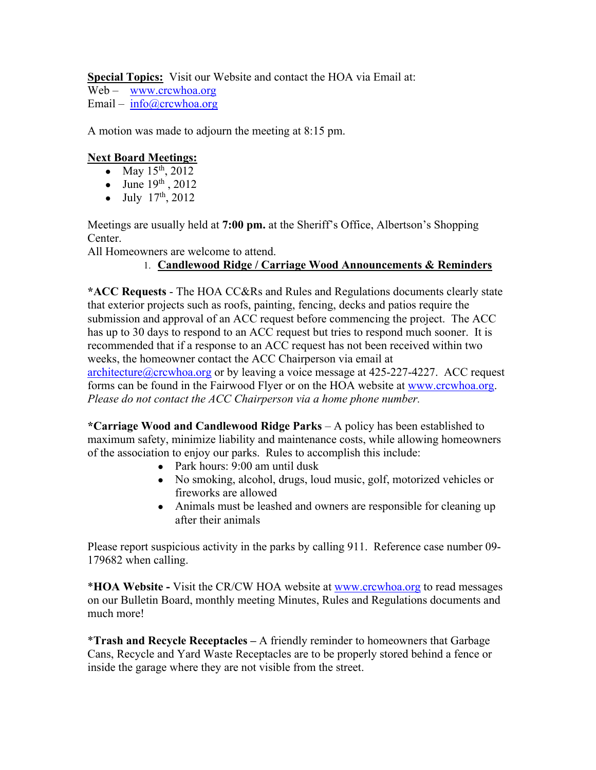**Special Topics:** Visit our Website and contact the HOA via Email at:

Web – www.crcwhoa.org

Email – info@crcwhoa.org

A motion was made to adjourn the meeting at 8:15 pm.

# **Next Board Meetings:**

- May  $15^{th}$ , 2012
- June  $19^{th}$ , 2012
- July  $17^{th}$ , 2012

Meetings are usually held at **7:00 pm.** at the Sheriff's Office, Albertson's Shopping Center.

All Homeowners are welcome to attend.

# 1. **Candlewood Ridge / Carriage Wood Announcements & Reminders**

**\*ACC Requests** - The HOA CC&Rs and Rules and Regulations documents clearly state that exterior projects such as roofs, painting, fencing, decks and patios require the submission and approval of an ACC request before commencing the project. The ACC has up to 30 days to respond to an ACC request but tries to respond much sooner. It is recommended that if a response to an ACC request has not been received within two weeks, the homeowner contact the ACC Chairperson via email at architecture@crcwhoa.org or by leaving a voice message at 425-227-4227. ACC request forms can be found in the Fairwood Flyer or on the HOA website at www.crcwhoa.org. *Please do not contact the ACC Chairperson via a home phone number.*

**\*Carriage Wood and Candlewood Ridge Parks** – A policy has been established to maximum safety, minimize liability and maintenance costs, while allowing homeowners of the association to enjoy our parks. Rules to accomplish this include:

- Park hours: 9:00 am until dusk
- No smoking, alcohol, drugs, loud music, golf, motorized vehicles or fireworks are allowed
- Animals must be leashed and owners are responsible for cleaning up after their animals

Please report suspicious activity in the parks by calling 911. Reference case number 09- 179682 when calling.

\***HOA Website -** Visit the CR/CW HOA website at www.crcwhoa.org to read messages on our Bulletin Board, monthly meeting Minutes, Rules and Regulations documents and much more!

\***Trash and Recycle Receptacles –** A friendly reminder to homeowners that Garbage Cans, Recycle and Yard Waste Receptacles are to be properly stored behind a fence or inside the garage where they are not visible from the street.